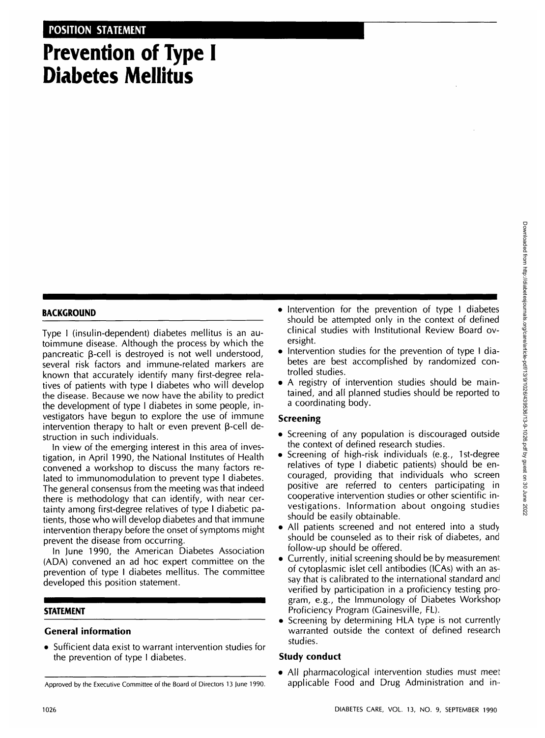# **Prevention of Type I Diabetes Mellitus**

#### **BACKGROUND**

Type I (insulin-dependent) diabetes mellitus is an autoimmune disease. Although the process by which the pancreatic  $\beta$ -cell is destroyed is not well understood, several risk factors and immune-related markers are known that accurately identify many first-degree relatives of patients with type I diabetes who will develop the disease. Because we now have the ability to predict the development of type I diabetes in some people, investigators have begun to explore the use of immune intervention therapy to halt or even prevent  $\beta$ -cell destruction in such individuals.

In view of the emerging interest in this area of investigation, in April 1990, the National Institutes of Health convened a workshop to discuss the many factors related to immunomodulation to prevent type I diabetes. The general consensus from the meeting was that indeed there is methodology that can identify, with near certainty among first-degree relatives of type I diabetic patients, those who will develop diabetes and that immune intervention therapy before the onset of symptoms might prevent the disease from occurring.

In June 1990, the American Diabetes Association (ADA) convened an ad hoc expert committee on the prevention of type I diabetes mellitus. The committee developed this position statement.

### **STATEMENT**

#### **General information**

- Sufficient data exist to warrant intervention studies for the prevention of type I diabetes.
- Approved by the Executive Committee of the Board of Directors 13 June 1990.
- Intervention for the prevention of type I diabetes should be attempted only in the context of defined clinical studies with Institutional Review Board oversight.
- Intervention studies for the prevention of type I diabetes are best accomplished by randomized controlled studies.
- A registry of intervention studies should be maintained, and all planned studies should be reported to a coordinating body.

#### **Screening**

- Screening of any population is discouraged outside the context of defined research studies.
- Screening of high-risk individuals (e.g., 1st-degree relatives of type I diabetic patients) should be encouraged, providing that individuals who screen positive are referred to centers participating in cooperative intervention studies or other scientific investigations. Information about ongoing studies should be easily obtainable.
- All patients screened and not entered into a study should be counseled as to their risk of diabetes, and follow-up should be offered.
- Currently, initial screening should be by measurement of cytoplasmic islet cell antibodies (ICAs) with an assay that is calibrated to the international standard and verified by participation in a proficiency testing program, e.g., the Immunology of Diabetes Workshop Proficiency Program (Gainesville, FL).
- Screening by determining HLA type is not currently warranted outside the context of defined research studies.

### **Study conduct**

• All pharmacological intervention studies must meet applicable Food and Drug Administration and in